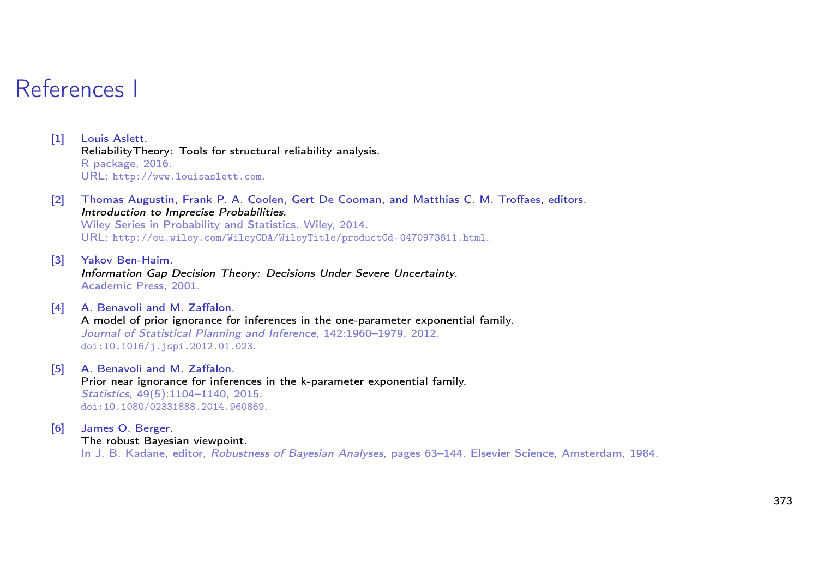## References I

- [1] Louis Aslett. ReliabilityTheory: Tools for structural reliability analysis. R package, 2016. URL: http://www.louisaslett.com.
- [2] Thomas Augustin, Frank P. A. Coolen, Gert De Cooman, and Matthias C. M. Troffaes, editors. Introduction to Imprecise Probabilities. Wiley Series in Probability and Statistics. Wiley, 2014. URL: http://eu.wiley.com/WileyCDA/WileyTitle/productCd-0470973811.html.
- [3] Yakov Ben-Haim. Information Gap Decision Theory: Decisions Under Severe Uncertainty. Academic Press, 2001.
- [4] A. Benavoli and M. Zaffalon. A model of prior ignorance for inferences in the one-parameter exponential family. Journal of Statistical Planning and Inference, 142:1960–1979, 2012. doi:10.1016/j.jspi.2012.01.023.
- [5] A. Benavoli and M. Zaffalon. Prior near ignorance for inferences in the k-parameter exponential family. Statistics, 49(5):1104–1140, 2015. doi:10.1080/02331888.2014.960869.
- [6] James O. Berger. The robust Bayesian viewpoint. In J. B. Kadane, editor, Robustness of Bayesian Analyses, pages 63-144. Elsevier Science, Amsterdam, 1984.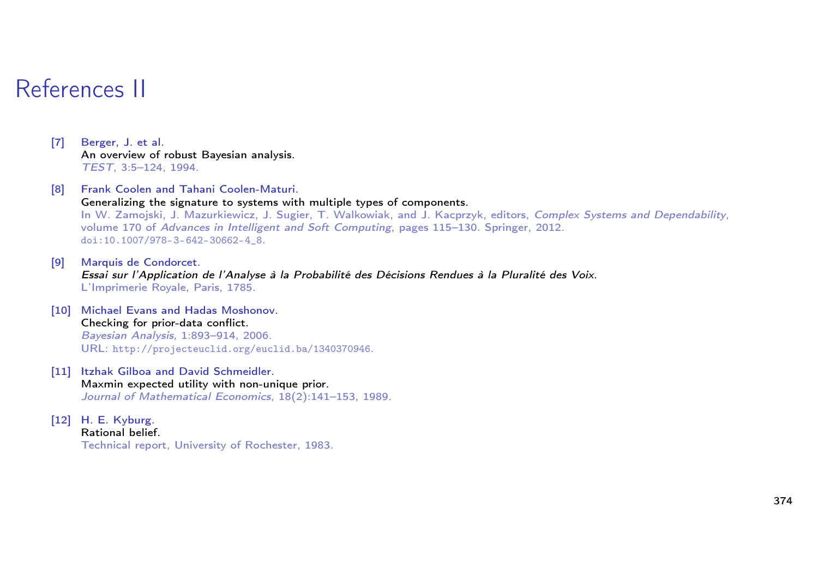# References II

[7] Berger, J. et al. An overview of robust Bayesian analysis. TEST, 3:5–124, 1994.

## [8] Frank Coolen and Tahani Coolen-Maturi. Generalizing the signature to systems with multiple types of components. In W. Zamojski, J. Mazurkiewicz, J. Sugier, T. Walkowiak, and J. Kacprzyk, editors, Complex Systems and Dependability, volume 170 of Advances in Intelligent and Soft Computing, pages 115–130. Springer, 2012.

doi:10.1007/978-3-642-30662-4\_8.

[9] Marquis de Condorcet. Essai sur l'Application de l'Analyse à la Probabilité des Décisions Rendues à la Pluralité des Voix. L'Imprimerie Royale, Paris, 1785.

### [10] Michael Evans and Hadas Moshonov. Checking for prior-data conflict. Bayesian Analysis, 1:893–914, 2006. URL: http://projecteuclid.org/euclid.ba/1340370946.

#### [11] Itzhak Gilboa and David Schmeidler. Maxmin expected utility with non-unique prior. Journal of Mathematical Economics, 18(2):141–153, 1989.

### [12] H. E. Kyburg.

Rational belief. Technical report, University of Rochester, 1983.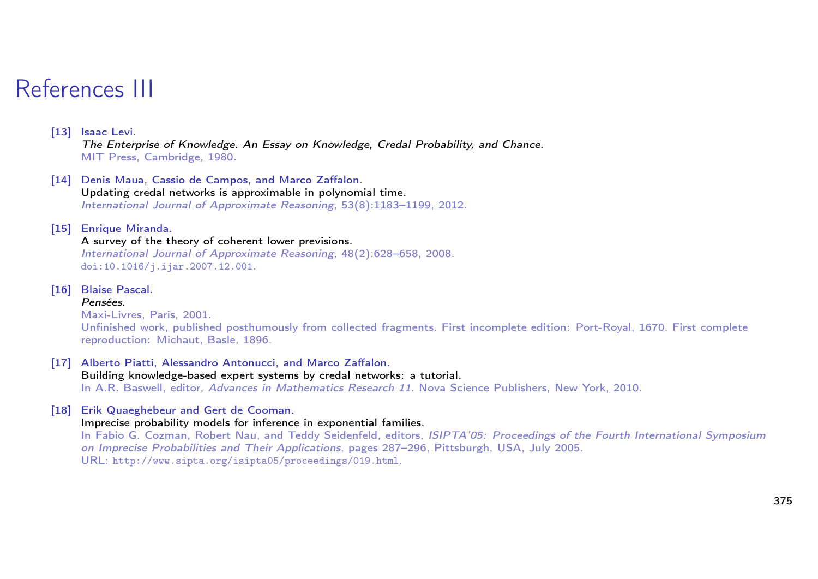# References III

## [13] Isaac Levi.

The Enterprise of Knowledge. An Essay on Knowledge, Credal Probability, and Chance. MIT Press, Cambridge, 1980.

[14] Denis Maua, Cassio de Campos, and Marco Zaffalon. Updating credal networks is approximable in polynomial time. International Journal of Approximate Reasoning, 53(8):1183–1199, 2012.

### [15] Enrique Miranda.

### A survey of the theory of coherent lower previsions.

International Journal of Approximate Reasoning, 48(2):628–658, 2008. doi:10.1016/j.ijar.2007.12.001.

[16] Blaise Pascal.

### Pensées.

Maxi-Livres, Paris, 2001. Unfinished work, published posthumously from collected fragments. First incomplete edition: Port-Royal, 1670. First complete reproduction: Michaut, Basle, 1896.

[17] Alberto Piatti, Alessandro Antonucci, and Marco Zaffalon. Building knowledge-based expert systems by credal networks: a tutorial. In A.R. Baswell, editor, Advances in Mathematics Research 11. Nova Science Publishers, New York, 2010.

### [18] Erik Quaeghebeur and Gert de Cooman.

### Imprecise probability models for inference in exponential families.

In Fabio G. Cozman, Robert Nau, and Teddy Seidenfeld, editors, ISIPTA'05: Proceedings of the Fourth International Symposium on Imprecise Probabilities and Their Applications, pages 287–296, Pittsburgh, USA, July 2005. URL: http://www.sipta.org/isipta05/proceedings/019.html.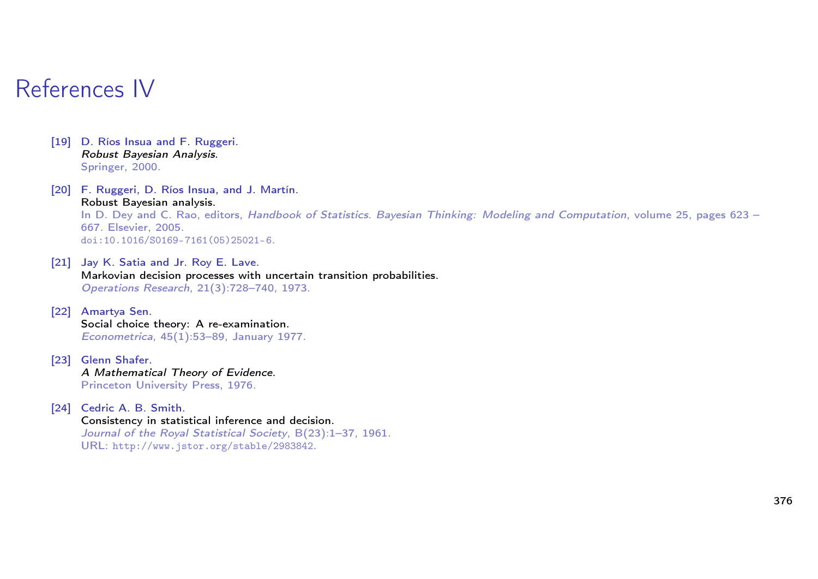# References IV

- [19] D. Ríos Insua and F. Ruggeri. Robust Bayesian Analysis. Springer, 2000.
- [20] F. Ruggeri, D. Ríos Insua, and J. Martín. Robust Bayesian analysis. In D. Dey and C. Rao, editors, Handbook of Statistics. Bayesian Thinking: Modeling and Computation, volume 25, pages 623 – 667. Elsevier, 2005. doi:10.1016/S0169-7161(05)25021-6.
- [21] Jay K. Satia and Jr. Roy E. Lave. Markovian decision processes with uncertain transition probabilities. Operations Research, 21(3):728–740, 1973.
- [22] Amartya Sen. Social choice theory: A re-examination. Econometrica, 45(1):53–89, January 1977.
- [23] Glenn Shafer. A Mathematical Theory of Evidence. Princeton University Press, 1976.
- [24] Cedric A. B. Smith. Consistency in statistical inference and decision. Journal of the Royal Statistical Society, B(23):1–37, 1961. URL: http://www.jstor.org/stable/2983842.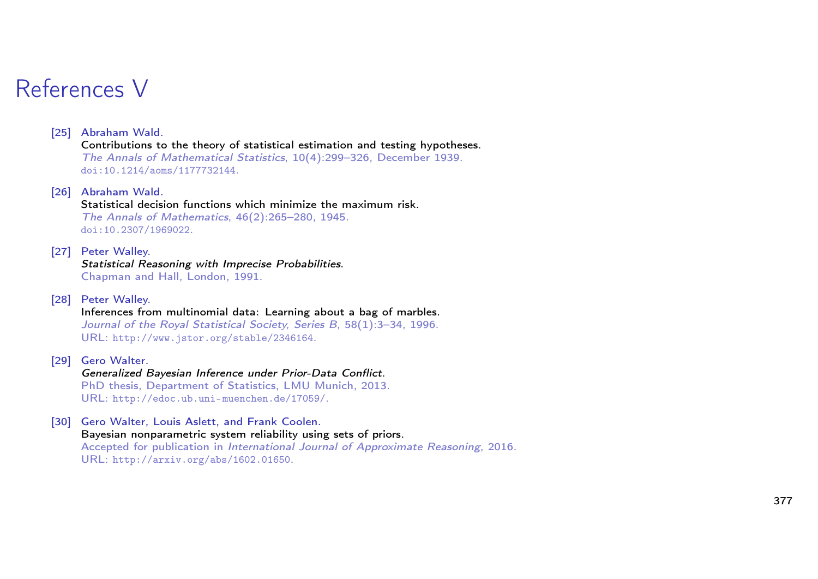# References V

## [25] Abraham Wald.

Contributions to the theory of statistical estimation and testing hypotheses. The Annals of Mathematical Statistics, 10(4):299–326, December 1939. doi:10.1214/aoms/1177732144.

[26] Abraham Wald. Statistical decision functions which minimize the maximum risk. The Annals of Mathematics, 46(2):265–280, 1945. doi:10.2307/1969022.

- [27] Peter Walley. Statistical Reasoning with Imprecise Probabilities. Chapman and Hall, London, 1991.
- [28] Peter Walley.

Inferences from multinomial data: Learning about a bag of marbles. Journal of the Royal Statistical Society, Series B, 58(1):3-34, 1996. URL: http://www.jstor.org/stable/2346164.

[29] Gero Walter.

Generalized Bayesian Inference under Prior-Data Conflict. PhD thesis, Department of Statistics, LMU Munich, 2013. URL: http://edoc.ub.uni-muenchen.de/17059/.

[30] Gero Walter, Louis Aslett, and Frank Coolen.

Bayesian nonparametric system reliability using sets of priors. Accepted for publication in International Journal of Approximate Reasoning, 2016. URL: http://arxiv.org/abs/1602.01650.